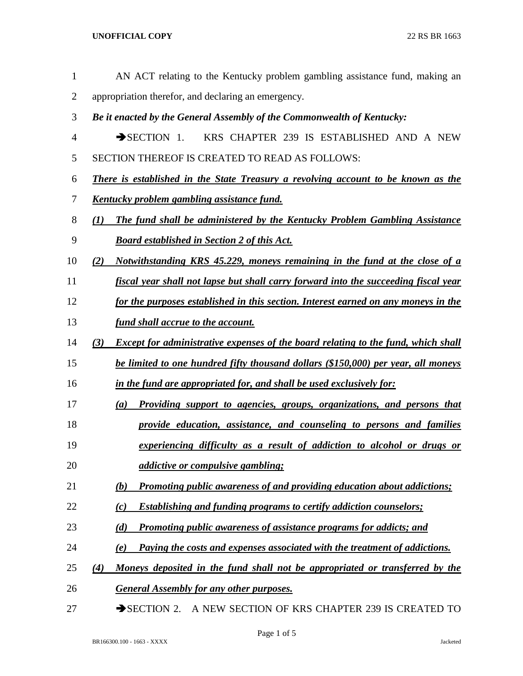**UNOFFICIAL COPY** 22 RS BR 1663

- AN ACT relating to the Kentucky problem gambling assistance fund, making an appropriation therefor, and declaring an emergency. *Be it enacted by the General Assembly of the Commonwealth of Kentucky:* SECTION 1. KRS CHAPTER 239 IS ESTABLISHED AND A NEW SECTION THEREOF IS CREATED TO READ AS FOLLOWS: *There is established in the State Treasury a revolving account to be known as the Kentucky problem gambling assistance fund. (1) The fund shall be administered by the Kentucky Problem Gambling Assistance Board established in Section 2 of this Act. (2) Notwithstanding KRS 45.229, moneys remaining in the fund at the close of a fiscal year shall not lapse but shall carry forward into the succeeding fiscal year for the purposes established in this section. Interest earned on any moneys in the fund shall accrue to the account. (3) Except for administrative expenses of the board relating to the fund, which shall be limited to one hundred fifty thousand dollars (\$150,000) per year, all moneys in the fund are appropriated for, and shall be used exclusively for: (a) Providing support to agencies, groups, organizations, and persons that provide education, assistance, and counseling to persons and families experiencing difficulty as a result of addiction to alcohol or drugs or addictive or compulsive gambling; (b) Promoting public awareness of and providing education about addictions; (c) Establishing and funding programs to certify addiction counselors; (d) Promoting public awareness of assistance programs for addicts; and (e) Paying the costs and expenses associated with the treatment of addictions. (4) Moneys deposited in the fund shall not be appropriated or transferred by the General Assembly for any other purposes.*
- 27 SECTION 2. A NEW SECTION OF KRS CHAPTER 239 IS CREATED TO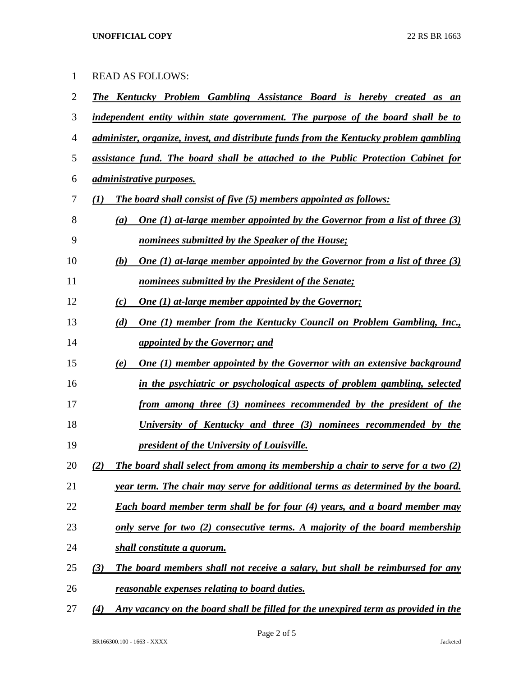| $\mathbf{1}$ | <b>READ AS FOLLOWS:</b>                                                                               |
|--------------|-------------------------------------------------------------------------------------------------------|
| 2            | <b>The Kentucky Problem Gambling Assistance Board is hereby created as an</b>                         |
| 3            | independent entity within state government. The purpose of the board shall be to                      |
| 4            | administer, organize, invest, and distribute funds from the Kentucky problem gambling                 |
| 5            | assistance fund. The board shall be attached to the Public Protection Cabinet for                     |
| 6            | <i><u>administrative purposes.</u></i>                                                                |
| 7            | <b>The board shall consist of five (5) members appointed as follows:</b><br>(I)                       |
| 8            | <u>One (1) at-large member appointed by the Governor from a list of three (3)</u><br>$\left(a\right)$ |
| 9            | nominees submitted by the Speaker of the House;                                                       |
| 10           | <u>One (1) at-large member appointed by the Governor from a list of three (3)</u><br>(b)              |
| 11           | nominees submitted by the President of the Senate;                                                    |
| 12           | <b>One (1) at-large member appointed by the Governor;</b><br>(c)                                      |
| 13           | <b>One (1) member from the Kentucky Council on Problem Gambling, Inc.,</b><br>(d)                     |
| 14           | <i><u>appointed by the Governor; and</u></i>                                                          |
| 15           | <b>One (1) member appointed by the Governor with an extensive background</b><br>(e)                   |
| 16           | in the psychiatric or psychological aspects of problem gambling, selected                             |
| 17           | from among three (3) nominees recommended by the president of the                                     |
| 18           | University of Kentucky and three (3) nominees recommended by the                                      |
| 19           | president of the University of Louisville.                                                            |
| 20           | The board shall select from among its membership a chair to serve for a two (2)<br>(2)                |
| 21           | year term. The chair may serve for additional terms as determined by the board.                       |
| 22           | <b>Each board member term shall be for four (4) years, and a board member may</b>                     |
| 23           | only serve for two (2) consecutive terms. A majority of the board membership                          |
| 24           | shall constitute a quorum.                                                                            |
| 25           | The board members shall not receive a salary, but shall be reimbursed for any<br>(3)                  |
| 26           | reasonable expenses relating to board duties.                                                         |
|              |                                                                                                       |

*(4) Any vacancy on the board shall be filled for the unexpired term as provided in the*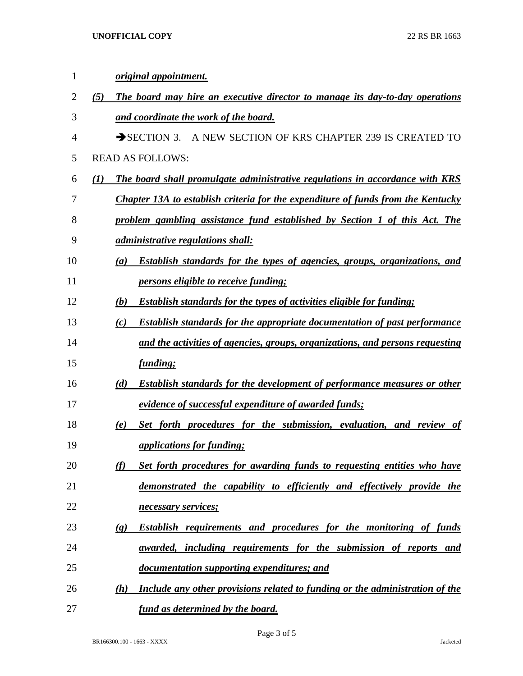| 1              |     | original appointment.                                                                                   |
|----------------|-----|---------------------------------------------------------------------------------------------------------|
| $\overline{2}$ | (5) | The board may hire an executive director to manage its day-to-day operations                            |
| 3              |     | and coordinate the work of the board.                                                                   |
| 4              |     | A NEW SECTION OF KRS CHAPTER 239 IS CREATED TO<br>$\rightarrow$ SECTION 3.                              |
| 5              |     | <b>READ AS FOLLOWS:</b>                                                                                 |
| 6              | (I) | The board shall promulgate administrative regulations in accordance with KRS                            |
| 7              |     | <b>Chapter 13A to establish criteria for the expenditure of funds from the Kentucky</b>                 |
| 8              |     | problem gambling assistance fund established by Section 1 of this Act. The                              |
| 9              |     | <i><u>administrative regulations shall:</u></i>                                                         |
| 10             |     | <b>Establish standards for the types of agencies, groups, organizations, and</b><br>(a)                 |
| 11             |     | <i>persons eligible to receive funding;</i>                                                             |
| 12             |     | <b>Establish standards for the types of activities eligible for funding;</b><br>(b)                     |
| 13             |     | <b>Establish standards for the appropriate documentation of past performance</b><br>(c)                 |
| 14             |     | and the activities of agencies, groups, organizations, and persons requesting                           |
| 15             |     | <i><u>funding;</u></i>                                                                                  |
| 16             |     | <b>Establish standards for the development of performance measures or other</b><br>(d)                  |
| 17             |     | evidence of successful expenditure of awarded funds;                                                    |
| 18             |     | Set forth procedures for the submission, evaluation, and review of<br>(e)                               |
| 19             |     | <i><u>applications for funding;</u></i>                                                                 |
| 20             |     | Set forth procedures for awarding funds to requesting entities who have<br>(f)                          |
| 21             |     | demonstrated the capability to efficiently and effectively provide the                                  |
| 22             |     | necessary services;                                                                                     |
| 23             |     | <b>Establish requirements and procedures for the monitoring of funds</b><br>$\left( \mathbf{g} \right)$ |
| 24             |     | awarded, including requirements for the submission of reports and                                       |
| 25             |     | documentation supporting expenditures; and                                                              |
| 26             |     | Include any other provisions related to funding or the administration of the<br>(h)                     |
| 27             |     | fund as determined by the board.                                                                        |

Page 3 of 5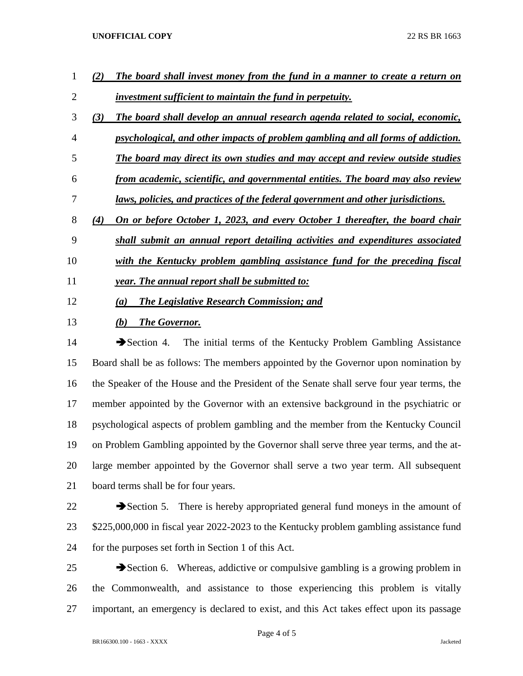## **UNOFFICIAL COPY** 22 RS BR 1663

| 1              |     | The board shall invest money from the fund in a manner to create a return on     |
|----------------|-----|----------------------------------------------------------------------------------|
| $\overline{2}$ |     | investment sufficient to maintain the fund in perpetuity.                        |
| 3              | (3) | The board shall develop an annual research agenda related to social, economic,   |
| 4              |     | psychological, and other impacts of problem gambling and all forms of addiction. |
| 5              |     | The board may direct its own studies and may accept and review outside studies   |
| 6              |     | from academic, scientific, and governmental entities. The board may also review  |
| 7              |     | laws, policies, and practices of the federal government and other jurisdictions. |
| 8              | (4) | On or before October 1, 2023, and every October 1 thereafter, the board chair    |
| 9              |     | shall submit an annual report detailing activities and expenditures associated   |
| 10             |     | with the Kentucky problem gambling assistance fund for the preceding fiscal      |
| 11             |     | year. The annual report shall be submitted to:                                   |
| 12             |     | <b>The Legislative Research Commission; and</b><br>(a)                           |

*(b) The Governor.*

14 Section 4. The initial terms of the Kentucky Problem Gambling Assistance Board shall be as follows: The members appointed by the Governor upon nomination by the Speaker of the House and the President of the Senate shall serve four year terms, the member appointed by the Governor with an extensive background in the psychiatric or psychological aspects of problem gambling and the member from the Kentucky Council on Problem Gambling appointed by the Governor shall serve three year terms, and the at- large member appointed by the Governor shall serve a two year term. All subsequent board terms shall be for four years.

22  $\rightarrow$  Section 5. There is hereby appropriated general fund moneys in the amount of \$225,000,000 in fiscal year 2022-2023 to the Kentucky problem gambling assistance fund for the purposes set forth in Section 1 of this Act.

 Section 6. Whereas, addictive or compulsive gambling is a growing problem in the Commonwealth, and assistance to those experiencing this problem is vitally important, an emergency is declared to exist, and this Act takes effect upon its passage

Page 4 of 5